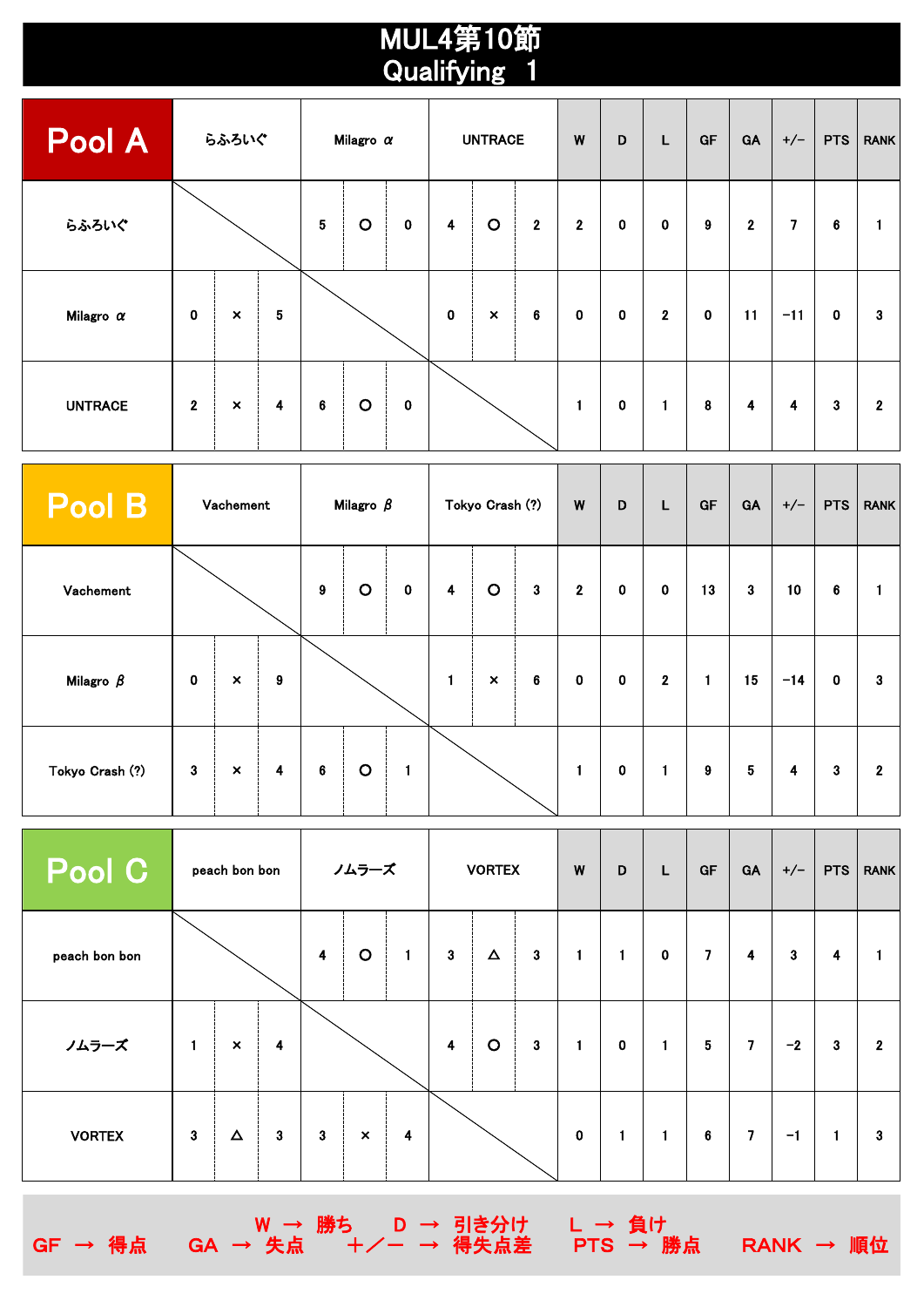## Qualifying 1 MUL4第10節

| Pool A           | らふろいぐ                   |                           |   | Milagro $\alpha$ |         |           | <b>UNTRACE</b>          |                |             | W           | D           | L              | GF        | GA           | $+/-$ | PTS         | <b>RANK</b>  |
|------------------|-------------------------|---------------------------|---|------------------|---------|-----------|-------------------------|----------------|-------------|-------------|-------------|----------------|-----------|--------------|-------|-------------|--------------|
| らふろいぐ            |                         |                           |   |                  | $\circ$ | $\pmb{0}$ | $\overline{\mathbf{4}}$ | $\circ$        | $\mathbf 2$ | $\mathbf 2$ | $\mathbf 0$ | $\mathbf 0$    | $\pmb{9}$ | $\mathbf{2}$ | 7     | 6           |              |
| Milagro $\alpha$ | $\mathbf 0$             | $\boldsymbol{\mathsf{x}}$ | 5 |                  |         |           | $\pmb{0}$               | $\pmb{\times}$ | $\bf 6$     | $\bf{0}$    | $\pmb{0}$   | $\overline{2}$ | $\pmb{0}$ | 11           | $-11$ | $\mathbf 0$ | 3            |
| <b>UNTRACE</b>   | $\overline{\mathbf{2}}$ | $\boldsymbol{\mathsf{x}}$ | 4 | 6                | $\circ$ | $\pmb{0}$ |                         |                |             | 1           | 0           | 1              | $\pmb{8}$ | 4            | 4     | 3           | $\mathbf{2}$ |

| Pool B          | Vachement |                |   | Milagro $\beta$  |         |             | Tokyo Crash (?) |                           |                | W            | D           | L            | GF           | GA              | $+/-$                   | PTS         | <b>RANK</b>  |
|-----------------|-----------|----------------|---|------------------|---------|-------------|-----------------|---------------------------|----------------|--------------|-------------|--------------|--------------|-----------------|-------------------------|-------------|--------------|
| Vachement       |           |                |   | $\boldsymbol{9}$ | $\circ$ | $\mathbf 0$ | 4               | $\circ$                   | $\bf{3}$       | $\mathbf 2$  | $\mathbf 0$ | $\pmb{0}$    | 13           | $\mathbf{3}$    | 10                      | 6           |              |
| Milagro $\beta$ | $\pmb{0}$ | $\times$       | 9 |                  |         |             | $\blacksquare$  | $\boldsymbol{\mathsf{x}}$ | $6\phantom{1}$ | $\mathbf 0$  | $\mathbf 0$ | $\mathbf{2}$ | $\mathbf{1}$ | 15              | $-14$                   | $\mathbf 0$ | 3            |
| Tokyo Crash (?) | $\bf 3$   | $\pmb{\times}$ | 4 | 6                | $\circ$ | 1           |                 |                           |                | $\mathbf{1}$ | $\pmb{0}$   | $\mathbf{1}$ | $\pmb{9}$    | $5\phantom{.0}$ | $\overline{\mathbf{4}}$ | 3           | $\mathbf{2}$ |

| Pool C        | peach bon bon |                |              | ノムラーズ                |                           |              | <b>VORTEX</b>           |             |              | W           | D            | L            | GF                      | GA                      | $+/-$ | <b>PTS</b>   | <b>RANK</b>  |
|---------------|---------------|----------------|--------------|----------------------|---------------------------|--------------|-------------------------|-------------|--------------|-------------|--------------|--------------|-------------------------|-------------------------|-------|--------------|--------------|
| peach bon bon |               |                |              | $\blacktriangleleft$ | $\circ$                   | $\mathbf{1}$ | ${\bf 3}$               | $\Delta$    | 3            | 1           | $\mathbf{1}$ | $\mathbf 0$  | 7                       | $\boldsymbol{4}$        | 3     | 4            |              |
| ノムラーズ         | $\mathbf{1}$  | $\pmb{\times}$ | 4            |                      |                           |              | $\overline{\mathbf{4}}$ | $\mathbf O$ | $\mathbf{3}$ | 1           | $\pmb{0}$    | $\mathbf{1}$ | $\overline{\mathbf{5}}$ | $\overline{7}$          | $-2$  | 3            | $\mathbf{2}$ |
| <b>VORTEX</b> | $\bf 3$       | $\Delta$       | $\mathbf{3}$ | 3                    | $\boldsymbol{\mathsf{x}}$ | 4            |                         |             |              | $\mathbf 0$ | $\mathbf{1}$ | $\mathbf{1}$ | $\bf 6$                 | $\overline{\mathbf{z}}$ | $-1$  | $\mathbf{1}$ | 3            |

W → 勝ち D → 引き分け L → 負け

GF → 得点 GA → 失点 +/- → 得失点差 PTS → 勝点 RANK → 順位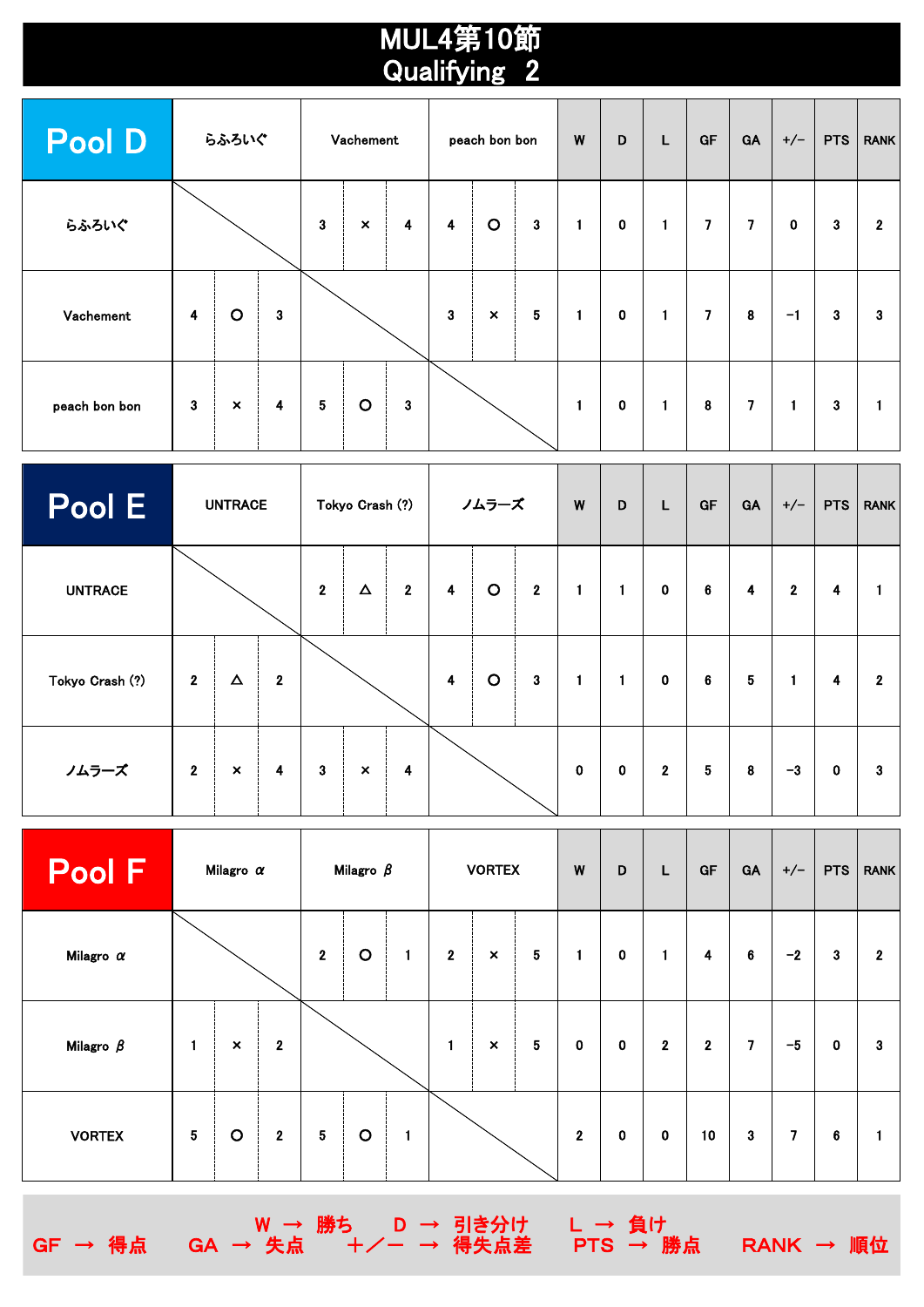## MUL4第10節 Qualifying 2

| <b>Pool D</b> | らふろいぐ                   |                           |              | Vachement    |                           |              | peach bon bon           |                |                 | W | D           | L | GF                      | GA             | $+/-$       | PTS          | <b>RANK</b>  |
|---------------|-------------------------|---------------------------|--------------|--------------|---------------------------|--------------|-------------------------|----------------|-----------------|---|-------------|---|-------------------------|----------------|-------------|--------------|--------------|
| らふろいぐ         |                         |                           |              | $\mathbf{3}$ | $\boldsymbol{\mathsf{x}}$ | 4            | $\overline{\mathbf{4}}$ | $\circ$        | $\bf{3}$        | 1 | $\mathbf 0$ | 1 | $\overline{\mathbf{z}}$ | $\overline{7}$ | $\mathbf 0$ | 3            | $\mathbf{2}$ |
| Vachement     | $\overline{\mathbf{4}}$ | $\circ$                   | $\mathbf{3}$ |              |                           |              | $\mathbf{3}$            | $\pmb{\times}$ | $5\phantom{.0}$ | 1 | $\mathbf 0$ | 1 | $\overline{\mathbf{z}}$ | 8              | $-1$        | 3            | 3            |
| peach bon bon | $\mathbf{3}$            | $\boldsymbol{\mathsf{x}}$ | 4            | 5            | $\circ$                   | $\mathbf{3}$ |                         |                |                 | 1 | 0           | 1 | $\pmb{8}$               | $\overline{7}$ | 1           | $\mathbf{3}$ |              |

| Pool E          | <b>UNTRACE</b> |                |                | Tokyo Crash (?)         |                |                | ノムラーズ                   |             |                | W           | D            | L              | GF               | <b>GA</b>        | $+/-$            | <b>PTS</b>  | <b>RANK</b>  |
|-----------------|----------------|----------------|----------------|-------------------------|----------------|----------------|-------------------------|-------------|----------------|-------------|--------------|----------------|------------------|------------------|------------------|-------------|--------------|
| <b>UNTRACE</b>  |                |                |                | $\overline{\mathbf{2}}$ | $\Delta$       | $\overline{2}$ | $\overline{\mathbf{4}}$ | $\mathbf O$ | $\overline{2}$ | 1           | 1            | $\mathbf 0$    | $\bf 6$          | $\boldsymbol{4}$ | $\boldsymbol{2}$ | 4           |              |
| Tokyo Crash (?) | $\mathbf{2}$   | $\Delta$       | $\overline{2}$ |                         |                |                | $\overline{\mathbf{4}}$ | $\circ$     | $\mathbf{3}$   | 1           | $\mathbf{1}$ | $\mathbf 0$    | $\boldsymbol{6}$ | 5                | 1.               | 4           | $\mathbf{2}$ |
| ノムラーズ           | $\overline{2}$ | $\pmb{\times}$ | 4              | 3                       | $\pmb{\times}$ | 4              |                         |             |                | $\mathbf 0$ | 0            | $\overline{2}$ | $\sqrt{5}$       | ${\bf 8}$        | $-3$             | $\mathbf 0$ | 3            |

| <b>Pool F</b>    |                 | Milagro $\alpha$ |              | Milagro $\beta$  |         |              | <b>VORTEX</b>    |                           |                 | W           | D         | L            | GF                      | GA             | $+/-$ | <b>PTS</b> | <b>RANK</b>  |
|------------------|-----------------|------------------|--------------|------------------|---------|--------------|------------------|---------------------------|-----------------|-------------|-----------|--------------|-------------------------|----------------|-------|------------|--------------|
| Milagro $\alpha$ |                 |                  |              | $\boldsymbol{2}$ | $\circ$ | $\mathbf{1}$ | $\boldsymbol{2}$ | $\boldsymbol{\mathsf{x}}$ | $5\phantom{.0}$ | 1           | $\pmb{0}$ | $\mathbf{1}$ | $\overline{\mathbf{4}}$ | 6              | $-2$  | 3          | $\mathbf{2}$ |
| Milagro $\beta$  | $\mathbf{1}$    | $\pmb{\times}$   | $\mathbf{2}$ |                  |         |              | $\mathbf{1}$     | $\pmb{\times}$            | $5\phantom{.0}$ | 0           | 0         | $\mathbf{2}$ | $\mathbf 2$             | $\overline{7}$ | $-5$  | 0          | 3            |
| <b>VORTEX</b>    | $5\phantom{.0}$ | $\circ$          | $\mathbf{2}$ | 5                | $\circ$ | 1            |                  |                           |                 | $\mathbf 2$ | 0         | $\mathbf 0$  | 10                      | 3              | 7     | 6          |              |

W → 勝ち D → 引き分け L → 負け

GF → 得点 GA → 失点 +/- → 得失点差 PTS → 勝点 RANK → 順位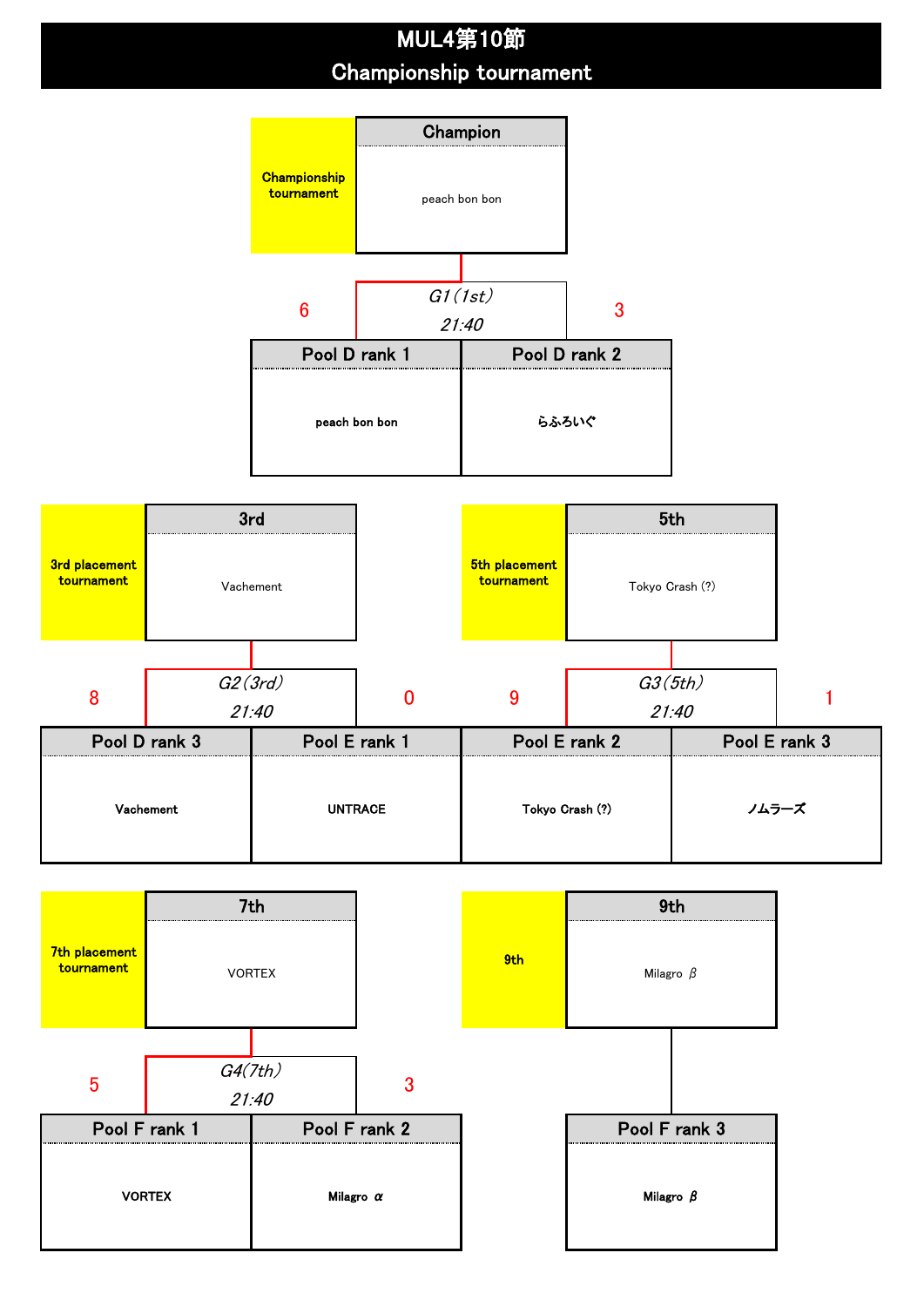## MUL4第10節 Championship tournament